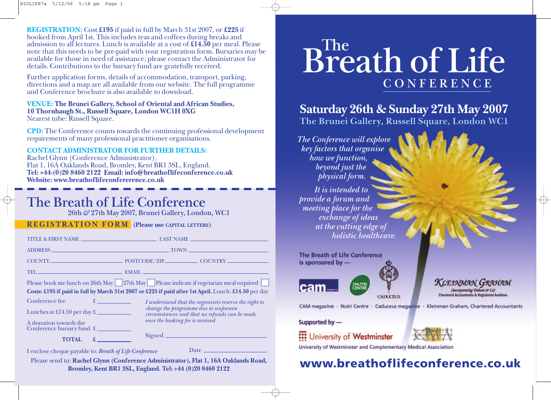**REGISTRATION:** Cost **£195** if paid in full by March 31st 2007, or **£225** if booked from April 1st. This includes teas and coffees during breaks and admission to all lectures. Lunch is available at a cost of **£14.50** per meal. Please note that this needs to be pre-paid with your registration form. Bursaries may be available for those in need of assistance; please contact the Administrator for details. Contributions to the bursary fund are gratefully received.

Further application forms, details of accommodation, transport, parking, directions and a map are all available from our website. The full programme and Conference brochure is also available to download.

#### **VENUE: The Brunei Gallery, School of Oriental and African Studies, 10 Thornhaugh St., Russell Square, London WC1H 0XG** Nearest tube: Russell Square.

**CPD:** The Conference counts towards the continuing professional development requirements of many professional practitioner organisations.

#### **CONTACT ADMINISTRATOR FOR FURTHER DETAILS:**

Rachel Glynn (Conference Administrator), Flat 1, 16A Oaklands Road, Bromley, Kent BR1 3SL, England. **Tel: +44-(0)20 8460 2122 Email: info@breathoflifeconference.co.uk Website: www.breathoflifeconfererence.co.uk**

## **The Breath of Life Conference**

**26th & 27th May 2007, Brunei Gallery, London, WC1**

### **REGISTRATION FORM (Please use CAPITAL LETTERS)**

| Please book me lunch on 26th May   27th May   Please indicate if vegetarian meal required<br>Costs: £195 if paid in full by March 31st 2007 or £225 if paid after 1st April. Lunch: £14.50 per day |                                                                                                                                                                                     |  |  |  |  |  |
|----------------------------------------------------------------------------------------------------------------------------------------------------------------------------------------------------|-------------------------------------------------------------------------------------------------------------------------------------------------------------------------------------|--|--|--|--|--|
| Conference fee<br>$\mathfrak{X}$ and $\mathfrak{X}$ and $\mathfrak{X}$<br>Lunches at £14.50 per day $\pounds$<br>a sa Tanzania.<br>A donation towards the                                          | I understand that the organisers reserve the right to<br>change the programme due to unforseen<br>circumstances and that no refunds can be made<br>once the booking fee is received |  |  |  |  |  |
| Conference bursary fund £<br><b>TOTAL</b>                                                                                                                                                          |                                                                                                                                                                                     |  |  |  |  |  |
| Lenclose cheque payable to: <i>Reeath of Life Conference</i>                                                                                                                                       | Date $\frac{1}{\sqrt{1-\frac{1}{2}}}\left\vert \frac{1}{\sqrt{1-\frac{1}{2}}}\right\vert$                                                                                           |  |  |  |  |  |

I enclose cheque payable to: **Breath of Life Conference**

Please send to: **Rachel Glynn (Conference Administrator), Flat 1, 16A Oaklands Road, Bromley, Kent BR1 3SL, England. Tel: +44 (0)20 8460 2122**

# **The Breath of Life CONFERENCE**

## **Saturday 26th & Sunday 27th May 2007 The Brunei Gallery, Russell Square, London WC1**

**The Conference will explore key factors that organise how we function, beyond just the physical form. It is intended to provide a forum and meeting place for the exchange of ideas at the cutting edge of holistic healthcare.**

|  |  |                   |  | <b>The Breath of Life Conference</b> |  |
|--|--|-------------------|--|--------------------------------------|--|
|  |  | is sponsored by - |  |                                      |  |
|  |  |                   |  |                                      |  |



CAM magazine · Nutri Centre · Caduceus magazine · Kleinman Graham, Chartered Accountants

#### Supported by-



University of Westminster and Complementary Medical Association

**CADUCEUS** 

## **www.breathoflifeconference.co.uk**

**KLEINMAN GRAHAM**